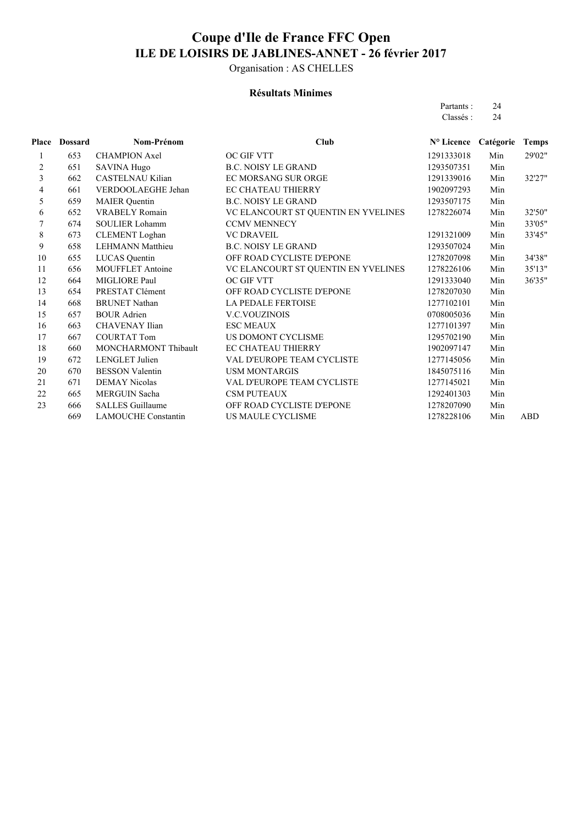Organisation : AS CHELLES

#### **Résultats Minimes**

| Partants : | 24 |
|------------|----|
| Classés :  | 24 |

| Place | Dossard | Nom-Prénom                 | Club                                | N° Licence | Catégorie | <b>Temps</b> |
|-------|---------|----------------------------|-------------------------------------|------------|-----------|--------------|
| 1     | 653     | <b>CHAMPION Axel</b>       | <b>OC GIF VTT</b>                   | 1291333018 | Min       | 29'02"       |
| 2     | 651     | <b>SAVINA Hugo</b>         | <b>B.C. NOISY LE GRAND</b>          | 1293507351 | Min       |              |
| 3     | 662     | <b>CASTELNAU Kilian</b>    | EC MORSANG SUR ORGE                 | 1291339016 | Min       | 32'27"       |
| 4     | 661     | VERDOOLAEGHE Jehan         | <b>EC CHATEAU THIERRY</b>           | 1902097293 | Min       |              |
| 5     | 659     | <b>MAIER</b> Quentin       | <b>B.C. NOISY LE GRAND</b>          | 1293507175 | Min       |              |
| 6     | 652     | <b>VRABELY Romain</b>      | VC ELANCOURT ST QUENTIN EN YVELINES | 1278226074 | Min       | 32'50"       |
| 7     | 674     | <b>SOULIER Lohamm</b>      | <b>CCMV MENNECY</b>                 |            | Min       | 33'05"       |
| 8     | 673     | <b>CLEMENT</b> Loghan      | <b>VC DRAVEIL</b>                   | 1291321009 | Min       | 33'45"       |
| 9     | 658     | <b>LEHMANN Matthieu</b>    | <b>B.C. NOISY LE GRAND</b>          | 1293507024 | Min       |              |
| 10    | 655     | LUCAS Quentin              | OFF ROAD CYCLISTE D'EPONE           | 1278207098 | Min       | 34'38"       |
| 11    | 656     | <b>MOUFFLET Antoine</b>    | VC ELANCOURT ST QUENTIN EN YVELINES | 1278226106 | Min       | 35'13"       |
| 12    | 664     | MIGLIORE Paul              | OC GIF VTT                          | 1291333040 | Min       | 36'35"       |
| 13    | 654     | PRESTAT Clément            | OFF ROAD CYCLISTE D'EPONE           | 1278207030 | Min       |              |
| 14    | 668     | <b>BRUNET Nathan</b>       | LA PEDALE FERTOISE                  | 1277102101 | Min       |              |
| 15    | 657     | <b>BOUR Adrien</b>         | <b>V.C.VOUZINOIS</b>                | 0708005036 | Min       |              |
| 16    | 663     | <b>CHAVENAY Ilian</b>      | <b>ESC MEAUX</b>                    | 1277101397 | Min       |              |
| 17    | 667     | <b>COURTAT Tom</b>         | US DOMONT CYCLISME                  | 1295702190 | Min       |              |
| 18    | 660     | MONCHARMONT Thibault       | <b>EC CHATEAU THIERRY</b>           | 1902097147 | Min       |              |
| 19    | 672     | <b>LENGLET</b> Julien      | VAL D'EUROPE TEAM CYCLISTE          | 1277145056 | Min       |              |
| 20    | 670     | <b>BESSON Valentin</b>     | <b>USM MONTARGIS</b>                | 1845075116 | Min       |              |
| 21    | 671     | <b>DEMAY Nicolas</b>       | VAL D'EUROPE TEAM CYCLISTE          | 1277145021 | Min       |              |
| 22    | 665     | <b>MERGUIN Sacha</b>       | <b>CSM PUTEAUX</b>                  | 1292401303 | Min       |              |
| 23    | 666     | <b>SALLES Guillaume</b>    | OFF ROAD CYCLISTE D'EPONE           | 1278207090 | Min       |              |
|       | 669     | <b>LAMOUCHE Constantin</b> | US MAULE CYCLISME                   | 1278228106 | Min       | ABD          |
|       |         |                            |                                     |            |           |              |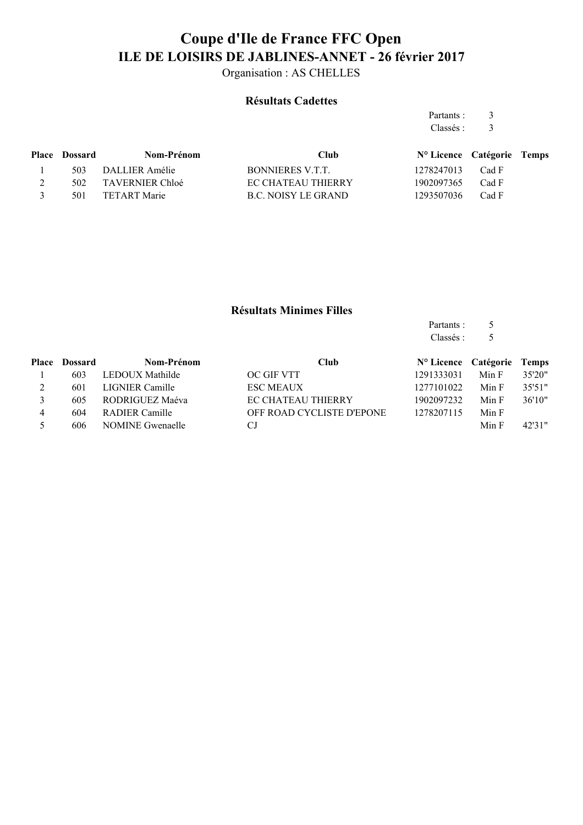Organisation : AS CHELLES

### **Résultats Cadettes**

Partants : 3 Classés : 3

|               | <b>Place Dossard</b> | Nom-Prénom          | <b>Club</b>               | N° Licence Catégorie Temps |       |  |
|---------------|----------------------|---------------------|---------------------------|----------------------------|-------|--|
|               |                      | 503 DALLIER Amélie  | BONNIERES V.T.T.          | 1278247013 Cad F           |       |  |
|               |                      | 502 TAVERNIER Chloé | <b>EC CHATEAU THIERRY</b> | 1902097365                 | Cad F |  |
| $\mathcal{R}$ | 501                  | TETART Marie        | B.C. NOISY LE GRAND       | 1293507036                 | Cad F |  |
|               |                      |                     |                           |                            |       |  |

### **Résultats Minimes Filles**

| Partants : | 5 |
|------------|---|
| Classés:   | 5 |

|          | <b>Place Dossard</b> | Nom-Prénom              | <b>Club</b>               | N° Licence Catégorie Temps |       |        |
|----------|----------------------|-------------------------|---------------------------|----------------------------|-------|--------|
|          | 603                  | LEDOUX Mathilde         | <b>OC GIF VTT</b>         | 1291333031                 | Min F | 35'20" |
| $\gamma$ | 601                  | LIGNIER Camille         | <b>ESC MEAUX</b>          | 1277101022                 | Min F | 35'51" |
|          | 605                  | RODRIGUEZ Maéva         | <b>EC CHATEAU THIERRY</b> | 1902097232                 | Min F | 36'10" |
| 4        | 604                  | RADIER Camille          | OFF ROAD CYCLISTE D'EPONE | 1278207115                 | Min F |        |
|          | 606                  | <b>NOMINE Gwenaelle</b> | СJ                        |                            | Min F | 42'31" |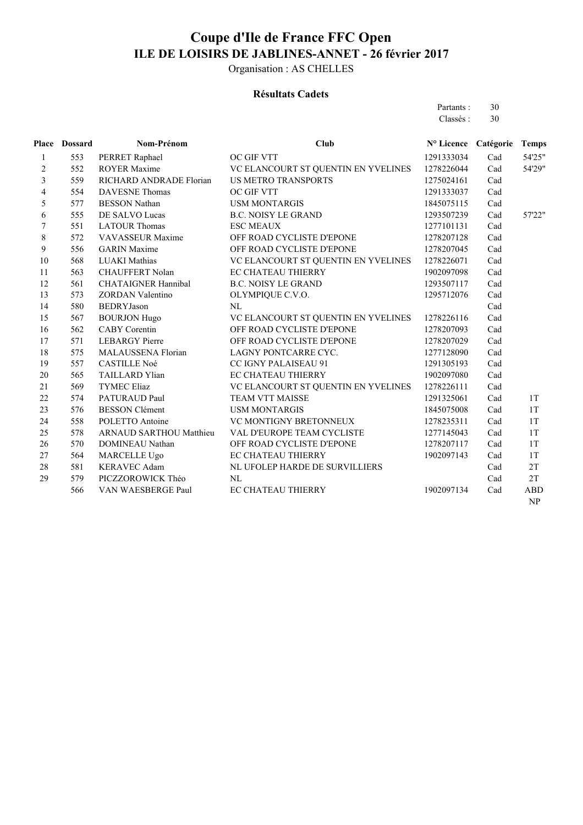Organisation : AS CHELLES

#### **Résultats Cadets**

Partants : 30 Classés : 30

|                         | Place Dossard | Nom-Prénom                     | <b>Club</b>                         | Nº Licence Catégorie |     | <b>Temps</b>                    |
|-------------------------|---------------|--------------------------------|-------------------------------------|----------------------|-----|---------------------------------|
| $\mathbf{1}$            | 553           | PERRET Raphael                 | OC GIF VTT                          | 1291333034           | Cad | 54'25"                          |
| $\overline{c}$          | 552           | <b>ROYER Maxime</b>            | VC ELANCOURT ST QUENTIN EN YVELINES | 1278226044           | Cad | 54'29"                          |
| 3                       | 559           | RICHARD ANDRADE Florian        | <b>US METRO TRANSPORTS</b>          | 1275024161           | Cad |                                 |
| $\overline{\mathbf{4}}$ | 554           | <b>DAVESNE</b> Thomas          | OC GIF VTT                          | 1291333037           | Cad |                                 |
| 5                       | 577           | <b>BESSON Nathan</b>           | <b>USM MONTARGIS</b>                | 1845075115           | Cad |                                 |
| 6                       | 555           | DE SALVO Lucas                 | <b>B.C. NOISY LE GRAND</b>          | 1293507239           | Cad | 57'22"                          |
| 7                       | 551           | <b>LATOUR Thomas</b>           | <b>ESC MEAUX</b>                    | 1277101131           | Cad |                                 |
| 8                       | 572           | <b>VAVASSEUR Maxime</b>        | OFF ROAD CYCLISTE D'EPONE           | 1278207128           | Cad |                                 |
| 9                       | 556           | <b>GARIN</b> Maxime            | OFF ROAD CYCLISTE D'EPONE           | 1278207045           | Cad |                                 |
| 10                      | 568           | <b>LUAKI Mathias</b>           | VC ELANCOURT ST QUENTIN EN YVELINES | 1278226071           | Cad |                                 |
| 11                      | 563           | CHAUFFERT Nolan                | <b>EC CHATEAU THIERRY</b>           | 1902097098           | Cad |                                 |
| 12                      | 561           | <b>CHATAIGNER Hannibal</b>     | <b>B.C. NOISY LE GRAND</b>          | 1293507117           | Cad |                                 |
| 13                      | 573           | <b>ZORDAN Valentino</b>        | OLYMPIQUE C.V.O.                    | 1295712076           | Cad |                                 |
| 14                      | 580           | <b>BEDRYJason</b>              | NL                                  |                      | Cad |                                 |
| 15                      | 567           | <b>BOURJON Hugo</b>            | VC ELANCOURT ST QUENTIN EN YVELINES | 1278226116           | Cad |                                 |
| 16                      | 562           | <b>CABY</b> Corentin           | OFF ROAD CYCLISTE D'EPONE           | 1278207093           | Cad |                                 |
| 17                      | 571           | <b>LEBARGY</b> Pierre          | OFF ROAD CYCLISTE D'EPONE           | 1278207029           | Cad |                                 |
| 18                      | 575           | MALAUSSENA Florian             | LAGNY PONTCARRE CYC.                | 1277128090           | Cad |                                 |
| 19                      | 557           | <b>CASTILLE Noé</b>            | CC IGNY PALAISEAU 91                | 1291305193           | Cad |                                 |
| 20                      | 565           | <b>TAILLARD Ylian</b>          | EC CHATEAU THIERRY                  | 1902097080           | Cad |                                 |
| 21                      | 569           | <b>TYMEC Eliaz</b>             | VC ELANCOURT ST QUENTIN EN YVELINES | 1278226111           | Cad |                                 |
| 22                      | 574           | PATURAUD Paul                  | TEAM VTT MAISSE                     | 1291325061           | Cad | 1T                              |
| 23                      | 576           | <b>BESSON Clément</b>          | <b>USM MONTARGIS</b>                | 1845075008           | Cad | 1T                              |
| 24                      | 558           | POLETTO Antoine                | VC MONTIGNY BRETONNEUX              | 1278235311           | Cad | 1T                              |
| 25                      | 578           | <b>ARNAUD SARTHOU Matthieu</b> | VAL D'EUROPE TEAM CYCLISTE          | 1277145043           | Cad | 1T                              |
| 26                      | 570           | DOMINEAU Nathan                | OFF ROAD CYCLISTE D'EPONE           | 1278207117           | Cad | 1T                              |
| 27                      | 564           | MARCELLE Ugo                   | <b>EC CHATEAU THIERRY</b>           | 1902097143           | Cad | 1T                              |
| 28                      | 581           | <b>KERAVEC Adam</b>            | NL UFOLEP HARDE DE SURVILLIERS      |                      | Cad | 2T                              |
| 29                      | 579           | PICZZOROWICK Théo              | NL                                  |                      | Cad | 2T                              |
|                         | 566           | VAN WAESBERGE Paul             | <b>EC CHATEAU THIERRY</b>           | 1902097134           | Cad | <b>ABD</b>                      |
|                         |               |                                |                                     |                      |     | $\ensuremath{\text{NP}}\xspace$ |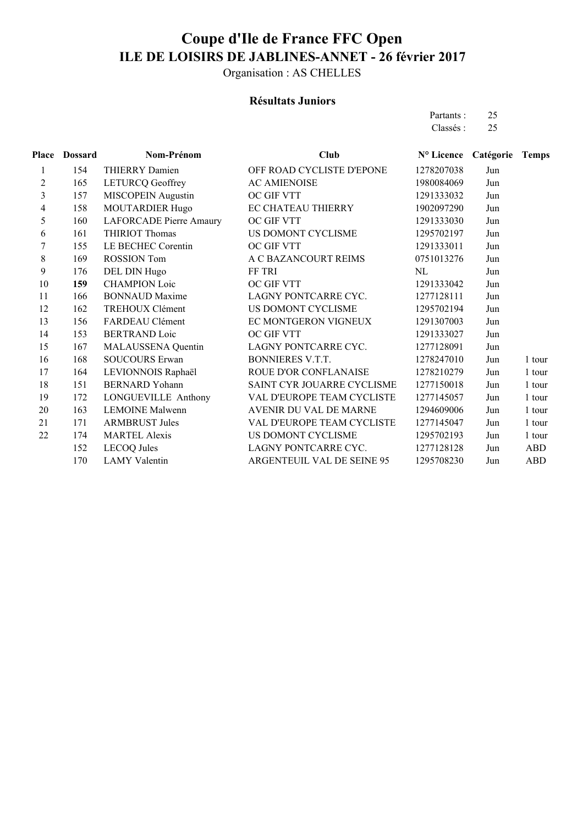Organisation : AS CHELLES

#### **Résultats Juniors**

Partants : 25 Classés : 25

| Place | <b>Dossard</b> | Nom-Prénom                | <b>Club</b>                   | N° Licence Catégorie |     | <b>Temps</b> |
|-------|----------------|---------------------------|-------------------------------|----------------------|-----|--------------|
| 1     | 154            | THIERRY Damien            | OFF ROAD CYCLISTE D'EPONE     | 1278207038           | Jun |              |
| 2     | 165            | <b>LETURCQ Geoffrey</b>   | <b>AC AMIENOISE</b>           | 1980084069           | Jun |              |
| 3     | 157            | <b>MISCOPEIN Augustin</b> | OC GIF VTT                    | 1291333032           | Jun |              |
| 4     | 158            | <b>MOUTARDIER Hugo</b>    | <b>EC CHATEAU THIERRY</b>     | 1902097290           | Jun |              |
| 5     | 160            | LAFORCADE Pierre Amaury   | OC GIF VTT                    | 1291333030           | Jun |              |
| 6     | 161            | THIRIOT Thomas            | US DOMONT CYCLISME            | 1295702197           | Jun |              |
| 7     | 155            | LE BECHEC Corentin        | OC GIF VTT                    | 1291333011           | Jun |              |
| 8     | 169            | <b>ROSSION Tom</b>        | A C BAZANCOURT REIMS          | 0751013276           | Jun |              |
| 9     | 176            | DEL DIN Hugo              | FF TRI                        | NL                   | Jun |              |
| 10    | 159            | <b>CHAMPION Loic</b>      | <b>OC GIF VTT</b>             | 1291333042           | Jun |              |
| 11    | 166            | <b>BONNAUD</b> Maxime     | LAGNY PONTCARRE CYC.          | 1277128111           | Jun |              |
| 12    | 162            | TREHOUX Clément           | US DOMONT CYCLISME            | 1295702194           | Jun |              |
| 13    | 156            | FARDEAU Clément           | EC MONTGERON VIGNEUX          | 1291307003           | Jun |              |
| 14    | 153            | <b>BERTRAND Loic</b>      | OC GIF VTT                    | 1291333027           | Jun |              |
| 15    | 167            | MALAUSSENA Quentin        | LAGNY PONTCARRE CYC.          | 1277128091           | Jun |              |
| 16    | 168            | <b>SOUCOURS Erwan</b>     | <b>BONNIERES V.T.T.</b>       | 1278247010           | Jun | 1 tour       |
| 17    | 164            | LEVIONNOIS Raphaël        | ROUE D'OR CONFLANAISE         | 1278210279           | Jun | 1 tour       |
| 18    | 151            | <b>BERNARD</b> Yohann     | SAINT CYR JOUARRE CYCLISME    | 1277150018           | Jun | 1 tour       |
| 19    | 172            | LONGUEVILLE Anthony       | VAL D'EUROPE TEAM CYCLISTE    | 1277145057           | Jun | 1 tour       |
| 20    | 163            | <b>LEMOINE Malwenn</b>    | <b>AVENIR DU VAL DE MARNE</b> | 1294609006           | Jun | 1 tour       |
| 21    | 171            | <b>ARMBRUST Jules</b>     | VAL D'EUROPE TEAM CYCLISTE    | 1277145047           | Jun | 1 tour       |
| 22    | 174            | <b>MARTEL Alexis</b>      | US DOMONT CYCLISME            | 1295702193           | Jun | 1 tour       |
|       | 152            | <b>LECOQ</b> Jules        | LAGNY PONTCARRE CYC.          | 1277128128           | Jun | <b>ABD</b>   |
|       | 170            | <b>LAMY Valentin</b>      | ARGENTEUIL VAL DE SEINE 95    | 1295708230           | Jun | <b>ABD</b>   |
|       |                |                           |                               |                      |     |              |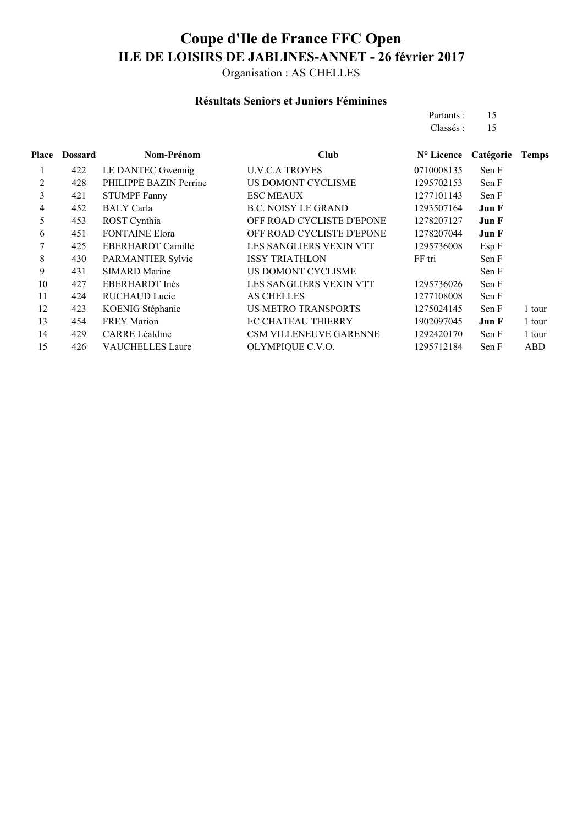Organisation : AS CHELLES

### **Résultats Seniors et Juniors Féminines**

Partants : 15 Classés : 15

| Place | <b>Dossard</b> | Nom-Prénom              | Club                          | N° Licence | Catégorie | <b>Temps</b> |
|-------|----------------|-------------------------|-------------------------------|------------|-----------|--------------|
|       | 422            | LE DANTEC Gwennig       | <b>U.V.C.A TROYES</b>         | 0710008135 | Sen F     |              |
| 2     | 428            | PHILIPPE BAZIN Perrine  | US DOMONT CYCLISME            | 1295702153 | Sen F     |              |
| 3     | 421            | <b>STUMPF Fanny</b>     | <b>ESC MEAUX</b>              | 1277101143 | Sen F     |              |
| 4     | 452            | <b>BALY</b> Carla       | <b>B.C. NOISY LE GRAND</b>    | 1293507164 | Jun F     |              |
| 5     | 453            | ROST Cynthia            | OFF ROAD CYCLISTE D'EPONE     | 1278207127 | Jun F     |              |
| 6     | 451            | <b>FONTAINE Elora</b>   | OFF ROAD CYCLISTE D'EPONE     | 1278207044 | Jun F     |              |
| 7     | 425            | EBERHARDT Camille       | LES SANGLIERS VEXIN VTT       | 1295736008 | Esp F     |              |
| 8     | 430            | PARMANTIER Sylvie       | <b>ISSY TRIATHLON</b>         | FF tri     | Sen F     |              |
| 9     | 431            | <b>SIMARD Marine</b>    | US DOMONT CYCLISME            |            | Sen F     |              |
| 10    | 427            | EBERHARDT Inès          | LES SANGLIERS VEXIN VTT       | 1295736026 | Sen F     |              |
| 11    | 424            | <b>RUCHAUD Lucie</b>    | <b>AS CHELLES</b>             | 1277108008 | Sen F     |              |
| 12    | 423            | KOENIG Stéphanie        | <b>US METRO TRANSPORTS</b>    | 1275024145 | Sen F     | 1 tour       |
| 13    | 454            | <b>FREY Marion</b>      | <b>EC CHATEAU THIERRY</b>     | 1902097045 | Jun F     | 1 tour       |
| 14    | 429            | <b>CARRE Léaldine</b>   | <b>CSM VILLENEUVE GARENNE</b> | 1292420170 | Sen F     | 1 tour       |
| 15    | 426            | <b>VAUCHELLES Laure</b> | OLYMPIQUE C.V.O.              | 1295712184 | Sen F     | ABD          |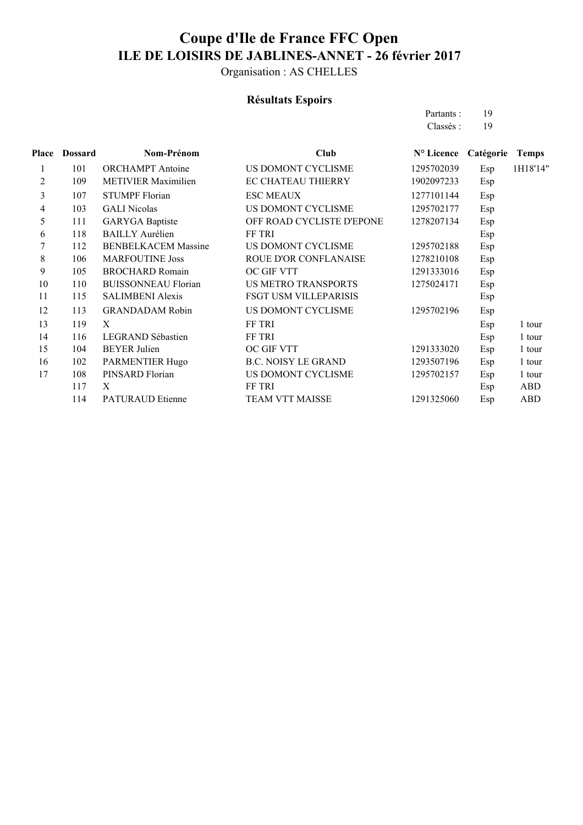Organisation : AS CHELLES

## **Résultats Espoirs**

Partants : 19<br>Classés : 19 Classés :

| <b>Place</b> | <b>Dossard</b> | Nom-Prénom                 | Club                         | N° Licence | Catégorie | <b>Temps</b> |
|--------------|----------------|----------------------------|------------------------------|------------|-----------|--------------|
| 1            | 101            | <b>ORCHAMPT</b> Antoine    | US DOMONT CYCLISME           | 1295702039 | Esp       | 1H18'14"     |
| 2            | 109            | <b>METIVIER Maximilien</b> | EC CHATEAU THIERRY           | 1902097233 | Esp       |              |
| 3            | 107            | <b>STUMPF Florian</b>      | <b>ESC MEAUX</b>             | 1277101144 | Esp       |              |
| 4            | 103            | <b>GALI</b> Nicolas        | US DOMONT CYCLISME           | 1295702177 | Esp       |              |
| 5            | 111            | <b>GARYGA</b> Baptiste     | OFF ROAD CYCLISTE D'EPONE    | 1278207134 | Esp       |              |
| 6            | 118            | <b>BAILLY Aurélien</b>     | FF TRI                       |            | Esp       |              |
| 7            | 112            | <b>BENBELKACEM Massine</b> | US DOMONT CYCLISME           | 1295702188 | Esp       |              |
| 8            | 106            | <b>MARFOUTINE Joss</b>     | <b>ROUE D'OR CONFLANAISE</b> | 1278210108 | Esp       |              |
| 9            | 105            | <b>BROCHARD Romain</b>     | OC GIF VTT                   | 1291333016 | Esp       |              |
| 10           | 110            | <b>BUISSONNEAU Florian</b> | <b>US METRO TRANSPORTS</b>   | 1275024171 | Esp       |              |
| 11           | 115            | <b>SALIMBENI Alexis</b>    | FSGT USM VILLEPARISIS        |            | Esp       |              |
| 12           | 113            | <b>GRANDADAM Robin</b>     | US DOMONT CYCLISME           | 1295702196 | Esp       |              |
| 13           | 119            | X                          | FF TRI                       |            | Esp       | 1 tour       |
| 14           | 116            | <b>LEGRAND Sébastien</b>   | <b>FF TRI</b>                |            | Esp       | 1 tour       |
| 15           | 104            | <b>BEYER Julien</b>        | OC GIF VTT                   | 1291333020 | Esp       | 1 tour       |
| 16           | 102            | PARMENTIER Hugo            | <b>B.C. NOISY LE GRAND</b>   | 1293507196 | Esp       | 1 tour       |
| 17           | 108            | PINSARD Florian            | US DOMONT CYCLISME           | 1295702157 | Esp       | 1 tour       |
|              | 117            | X                          | <b>FF TRI</b>                |            | Esp       | <b>ABD</b>   |
|              | 114            | <b>PATURAUD Etienne</b>    | <b>TEAM VTT MAISSE</b>       | 1291325060 | Esp       | <b>ABD</b>   |
|              |                |                            |                              |            |           |              |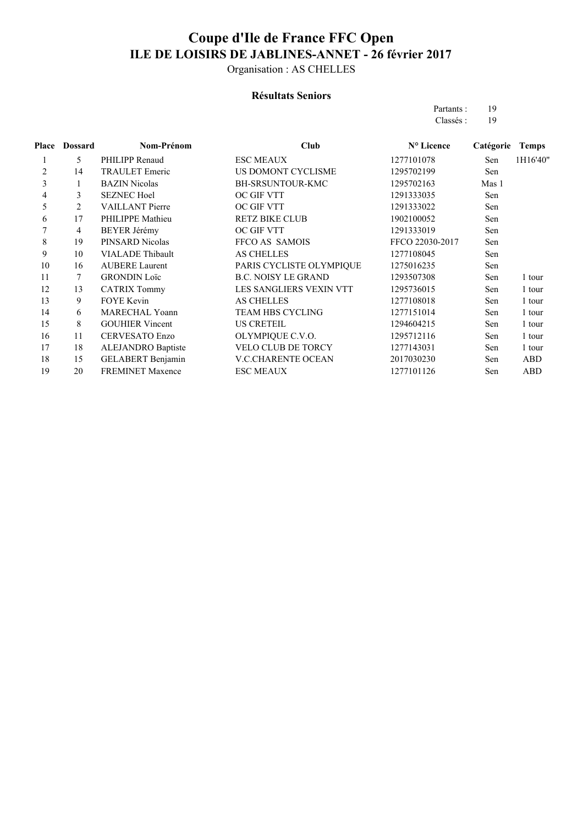Organisation : AS CHELLES

#### **Résultats Seniors**

Partants : 19 Classés : 19

| Place | <b>Dossard</b> | Nom-Prénom                | <b>Club</b>                | N° Licence      | Catégorie | <b>Temps</b> |
|-------|----------------|---------------------------|----------------------------|-----------------|-----------|--------------|
|       | 5              | PHILIPP Renaud            | <b>ESC MEAUX</b>           | 1277101078      | Sen       | 1H16'40"     |
| 2     | 14             | <b>TRAULET</b> Emeric     | US DOMONT CYCLISME         | 1295702199      | Sen       |              |
| 3     | 1              | <b>BAZIN</b> Nicolas      | <b>BH-SRSUNTOUR-KMC</b>    | 1295702163      | Mas 1     |              |
| 4     | 3              | <b>SEZNEC Hoel</b>        | OC GIF VTT                 | 1291333035      | Sen       |              |
| 5     | 2              | <b>VAILLANT</b> Pierre    | OC GIF VTT                 | 1291333022      | Sen       |              |
| 6     | 17             | PHILIPPE Mathieu          | <b>RETZ BIKE CLUB</b>      | 1902100052      | Sen       |              |
|       | 4              | BEYER Jérémy              | OC GIF VTT                 | 1291333019      | Sen       |              |
| 8     | 19             | PINSARD Nicolas           | FFCO AS SAMOIS             | FFCO 22030-2017 | Sen       |              |
| 9     | 10             | <b>VIALADE</b> Thibault   | <b>AS CHELLES</b>          | 1277108045      | Sen       |              |
| 10    | 16             | <b>AUBERE Laurent</b>     | PARIS CYCLISTE OLYMPIQUE   | 1275016235      | Sen       |              |
| 11    | 7              | <b>GRONDIN Loïc</b>       | <b>B.C. NOISY LE GRAND</b> | 1293507308      | Sen       | 1 tour       |
| 12    | 13             | <b>CATRIX Tommy</b>       | LES SANGLIERS VEXIN VTT    | 1295736015      | Sen       | 1 tour       |
| 13    | 9              | <b>FOYE</b> Kevin         | <b>AS CHELLES</b>          | 1277108018      | Sen       | 1 tour       |
| 14    | 6              | <b>MARECHAL Yoann</b>     | <b>TEAM HBS CYCLING</b>    | 1277151014      | Sen       | 1 tour       |
| 15    | 8              | <b>GOUHIER Vincent</b>    | <b>US CRETEIL</b>          | 1294604215      | Sen       | 1 tour       |
| 16    | 11             | <b>CERVESATO Enzo</b>     | OLYMPIQUE C.V.O.           | 1295712116      | Sen       | 1 tour       |
| 17    | 18             | <b>ALEJANDRO</b> Baptiste | <b>VELO CLUB DE TORCY</b>  | 1277143031      | Sen       | 1 tour       |
| 18    | 15             | <b>GELABERT Benjamin</b>  | <b>V.C.CHARENTE OCEAN</b>  | 2017030230      | Sen       | ABD          |
| 19    | 20             | <b>FREMINET Maxence</b>   | <b>ESC MEAUX</b>           | 1277101126      | Sen       | ABD          |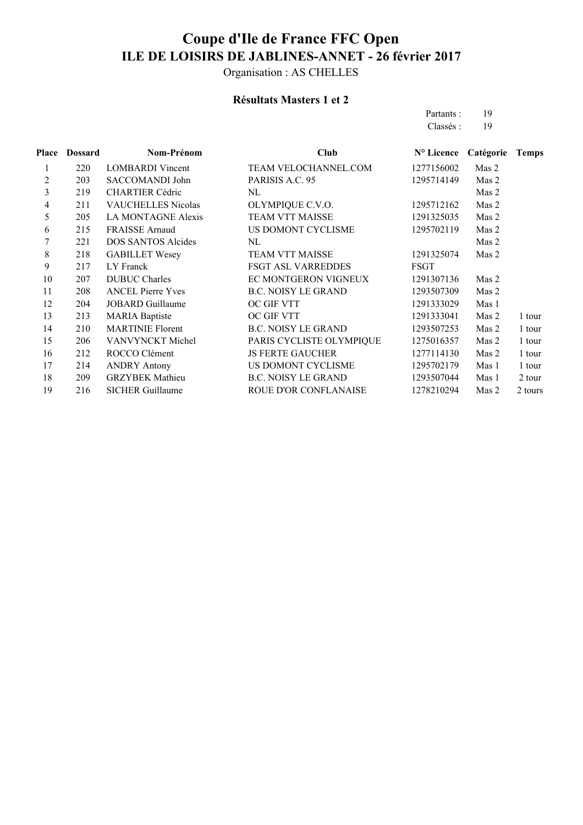Organisation : AS CHELLES

## **Résultats Masters 1 et 2**

Partants : 19 Classés : 19

| Place          | <b>Dossard</b> | Nom-Prénom                | Club                       | N° Licence  | Catégorie | <b>Temps</b> |
|----------------|----------------|---------------------------|----------------------------|-------------|-----------|--------------|
| 1              | 220            | <b>LOMBARDI</b> Vincent   | TEAM VELOCHANNEL.COM       | 1277156002  | Mas 2     |              |
| $\overline{c}$ | 203            | SACCOMANDI John           | PARISIS A.C. 95            | 1295714149  | Mas 2     |              |
| 3              | 219            | <b>CHARTIER Cédric</b>    | NL                         |             | Mas 2     |              |
| 4              | 211            | <b>VAUCHELLES Nicolas</b> | OLYMPIQUE C.V.O.           | 1295712162  | Mas 2     |              |
| 5              | 205            | LA MONTAGNE Alexis        | TEAM VTT MAISSE            | 1291325035  | Mas 2     |              |
| 6              | 215            | <b>FRAISSE Arnaud</b>     | US DOMONT CYCLISME         | 1295702119  | Mas 2     |              |
| 7              | 221            | <b>DOS SANTOS Alcides</b> | NL                         |             | Mas 2     |              |
| 8              | 218            | <b>GABILLET Wesey</b>     | TEAM VTT MAISSE            | 1291325074  | Mas 2     |              |
| 9              | 217            | LY Franck                 | <b>FSGT ASL VARREDDES</b>  | <b>FSGT</b> |           |              |
| 10             | 207            | <b>DUBUC Charles</b>      | EC MONTGERON VIGNEUX       | 1291307136  | Mas 2     |              |
| 11             | 208            | <b>ANCEL Pierre Yves</b>  | <b>B.C. NOISY LE GRAND</b> | 1293507309  | Mas 2     |              |
| 12             | 204            | <b>JOBARD</b> Guillaume   | OC GIF VTT                 | 1291333029  | Mas 1     |              |
| 13             | 213            | <b>MARIA</b> Baptiste     | OC GIF VTT                 | 1291333041  | Mas 2     | 1 tour       |
| 14             | 210            | <b>MARTINIE Florent</b>   | <b>B.C. NOISY LE GRAND</b> | 1293507253  | Mas 2     | 1 tour       |
| 15             | 206            | VANVYNCKT Michel          | PARIS CYCLISTE OLYMPIQUE   | 1275016357  | Mas 2     | 1 tour       |
| 16             | 212            | ROCCO Clément             | <b>JS FERTE GAUCHER</b>    | 1277114130  | Mas 2     | 1 tour       |
| 17             | 214            | <b>ANDRY Antony</b>       | US DOMONT CYCLISME         | 1295702179  | Mas 1     | 1 tour       |
| 18             | 209            | <b>GRZYBEK</b> Mathieu    | <b>B.C. NOISY LE GRAND</b> | 1293507044  | Mas 1     | 2 tour       |
| 19             | 216            | <b>SICHER Guillaume</b>   | ROUE D'OR CONFLANAISE      | 1278210294  | Mas 2     | 2 tours      |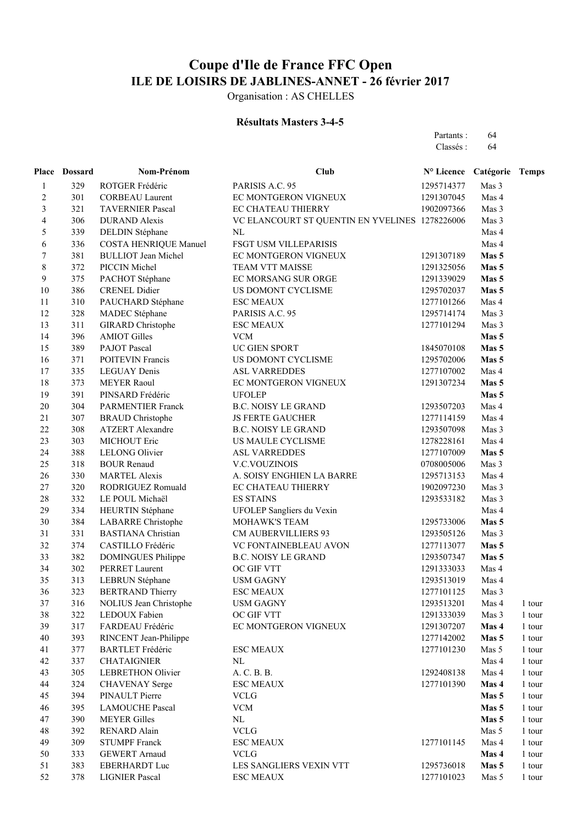Organisation : AS CHELLES

#### **Résultats Masters 3-4-5**

Partants : 64 Classés : 64

|                         | Place Dossard | Nom-Prénom                    | Club                                           | Nº Licence Catégorie Temps |       |               |
|-------------------------|---------------|-------------------------------|------------------------------------------------|----------------------------|-------|---------------|
| $\mathbf{1}$            | 329           | ROTGER Frédéric               | PARISIS A.C. 95                                | 1295714377                 | Mas 3 |               |
| $\sqrt{2}$              | 301           | <b>CORBEAU Laurent</b>        | EC MONTGERON VIGNEUX                           | 1291307045                 | Mas 4 |               |
| $\overline{\mathbf{3}}$ | 321           | <b>TAVERNIER Pascal</b>       | EC CHATEAU THIERRY                             | 1902097366                 | Mas 3 |               |
| $\overline{\mathbf{4}}$ | 306           | <b>DURAND</b> Alexis          | VC ELANCOURT ST QUENTIN EN YVELINES 1278226006 |                            | Mas 3 |               |
| 5                       | 339           | <b>DELDIN Stéphane</b>        | NL                                             |                            | Mas 4 |               |
| $\sqrt{6}$              | 336           | <b>COSTA HENRIQUE Manuel</b>  | FSGT USM VILLEPARISIS                          |                            | Mas 4 |               |
| $\sqrt{ }$              | 381           | <b>BULLIOT</b> Jean Michel    | EC MONTGERON VIGNEUX                           | 1291307189                 | Mas 5 |               |
| $\,8\,$                 | 372           | PICCIN Michel                 | TEAM VTT MAISSE                                | 1291325056                 | Mas 5 |               |
| 9                       | 375           | PACHOT Stéphane               | EC MORSANG SUR ORGE                            | 1291339029                 | Mas 5 |               |
| 10                      | 386           | <b>CRENEL Didier</b>          | US DOMONT CYCLISME                             | 1295702037                 | Mas 5 |               |
| 11                      | 310           | PAUCHARD Stéphane             | <b>ESC MEAUX</b>                               | 1277101266                 | Mas 4 |               |
| 12                      | 328           | MADEC Stéphane                | PARISIS A.C. 95                                | 1295714174                 | Mas 3 |               |
| 13                      | 311           | <b>GIRARD</b> Christophe      | <b>ESC MEAUX</b>                               | 1277101294                 | Mas 3 |               |
| 14                      | 396           | <b>AMIOT Gilles</b>           | <b>VCM</b>                                     |                            | Mas 5 |               |
| 15                      | 389           | PAJOT Pascal                  | UC GIEN SPORT                                  | 1845070108                 | Mas 5 |               |
| 16                      | 371           | POITEVIN Francis              | US DOMONT CYCLISME                             | 1295702006                 | Mas 5 |               |
| 17                      | 335           | <b>LEGUAY Denis</b>           | <b>ASL VARREDDES</b>                           | 1277107002                 | Mas 4 |               |
| 18                      | 373           | <b>MEYER Raoul</b>            | EC MONTGERON VIGNEUX                           | 1291307234                 | Mas 5 |               |
| 19                      | 391           | PINSARD Frédéric              | <b>UFOLEP</b>                                  |                            | Mas 5 |               |
| 20                      | 304           | <b>PARMENTIER Franck</b>      | <b>B.C. NOISY LE GRAND</b>                     | 1293507203                 | Mas 4 |               |
| 21                      | 307           | <b>BRAUD</b> Christophe       | <b>JS FERTE GAUCHER</b>                        | 1277114159                 | Mas 4 |               |
| 22                      | 308           | <b>ATZERT Alexandre</b>       | <b>B.C. NOISY LE GRAND</b>                     | 1293507098                 | Mas 3 |               |
| 23                      | 303           | MICHOUT Eric                  | US MAULE CYCLISME                              | 1278228161                 | Mas 4 |               |
| 24                      | 388           | <b>LELONG Olivier</b>         | <b>ASL VARREDDES</b>                           | 1277107009                 | Mas 5 |               |
| 25                      | 318           | <b>BOUR Renaud</b>            | <b>V.C.VOUZINOIS</b>                           | 0708005006                 | Mas 3 |               |
| 26                      | 330           | <b>MARTEL Alexis</b>          | A. SOISY ENGHIEN LA BARRE                      | 1295713153                 | Mas 4 |               |
| 27                      | 320           | RODRIGUEZ Romuald             | EC CHATEAU THIERRY                             | 1902097230                 | Mas 3 |               |
| 28                      | 332           | LE POUL Michaël               | <b>ES STAINS</b>                               | 1293533182                 | Mas 3 |               |
| 29                      | 334           | HEURTIN Stéphane              | UFOLEP Sangliers du Vexin                      |                            | Mas 4 |               |
| 30                      | 384           | <b>LABARRE</b> Christophe     | MOHAWK'S TEAM                                  | 1295733006                 | Mas 5 |               |
| 31                      | 331           | <b>BASTIANA Christian</b>     | <b>CM AUBERVILLIERS 93</b>                     | 1293505126                 | Mas 3 |               |
| 32                      | 374           | CASTILLO Frédéric             | VC FONTAINEBLEAU AVON                          | 1277113077                 | Mas 5 |               |
| 33                      | 382           | <b>DOMINGUES Philippe</b>     | <b>B.C. NOISY LE GRAND</b>                     | 1293507347                 | Mas 5 |               |
| 34                      | 302           | PERRET Laurent                | OC GIF VTT                                     | 1291333033                 | Mas 4 |               |
| 35                      | 313           | LEBRUN Stéphane               | <b>USM GAGNY</b>                               | 1293513019                 | Mas 4 |               |
| 36                      | 323           | <b>BERTRAND Thierry</b>       | <b>ESC MEAUX</b>                               | 1277101125                 | Mas 3 |               |
| 37                      | 316           | <b>NOLIUS Jean Christophe</b> | <b>USM GAGNY</b>                               | 1293513201 Mas 4           |       | 1 tour        |
| 38                      | 322           | LEDOUX Fabien                 | OC GIF VTT                                     | 1291333039                 | Mas 3 | 1 tour        |
| 39                      | 317           | FARDEAU Frédéric              | EC MONTGERON VIGNEUX                           | 1291307207                 | Mas 4 | $1$ tour $\,$ |
| 40                      | 393           | RINCENT Jean-Philippe         |                                                | 1277142002                 | Mas 5 | $1$ tour $\,$ |
| 41                      | 377           | <b>BARTLET</b> Frédéric       | <b>ESC MEAUX</b>                               | 1277101230                 | Mas 5 | 1 tour        |
| 42                      | 337           | <b>CHATAIGNIER</b>            | $\rm NL$                                       |                            | Mas 4 | $1$ tour $\,$ |
| 43                      | 305           | <b>LEBRETHON Olivier</b>      | A. C. B. B.                                    | 1292408138                 | Mas 4 | $1$ tour $\,$ |
| 44                      | 324           | <b>CHAVENAY</b> Serge         | <b>ESC MEAUX</b>                               | 1277101390                 | Mas 4 | $1$ tour $\,$ |
| 45                      | 394           | PINAULT Pierre                | <b>VCLG</b>                                    |                            | Mas 5 | $1$ tour $\,$ |
| 46                      | 395           | <b>LAMOUCHE Pascal</b>        | <b>VCM</b>                                     |                            | Mas 5 | 1 tour        |
| 47                      | 390           | <b>MEYER Gilles</b>           | $\rm NL$                                       |                            | Mas 5 | 1 tour        |
| 48                      | 392           | RENARD Alain                  | <b>VCLG</b>                                    |                            | Mas 5 | 1 tour        |
| 49                      | 309           | <b>STUMPF Franck</b>          | <b>ESC MEAUX</b>                               | 1277101145                 | Mas 4 | 1 tour        |
| 50                      | 333           | <b>GEWERT Arnaud</b>          | <b>VCLG</b>                                    |                            | Mas 4 | 1 tour        |
| 51                      | 383           | EBERHARDT Luc                 | LES SANGLIERS VEXIN VTT                        | 1295736018                 | Mas 5 | 1 tour        |
| 52                      | 378           | <b>LIGNIER Pascal</b>         | <b>ESC MEAUX</b>                               | 1277101023                 | Mas 5 | 1 tour        |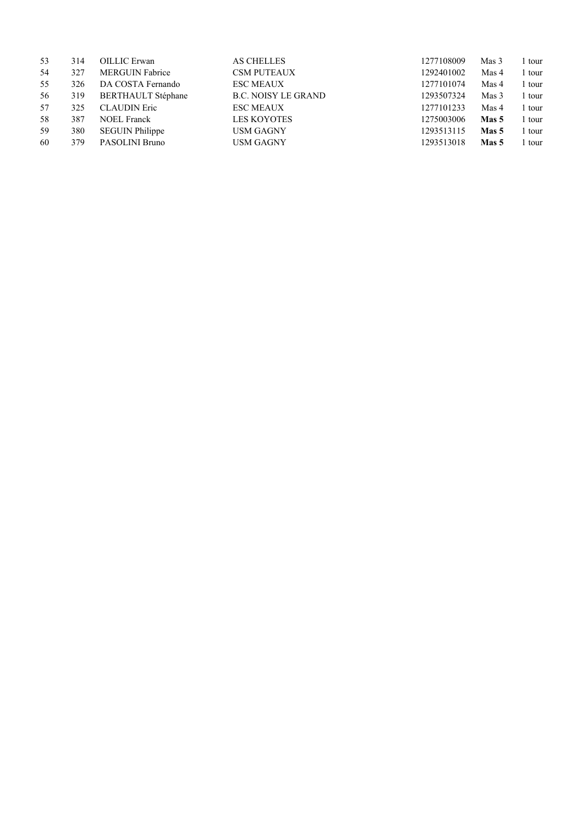| 53 | 314 | <b>OILLIC</b> Erwan       | <b>AS CHELLES</b>          | 1277108009 | Mas 3 | tour   |
|----|-----|---------------------------|----------------------------|------------|-------|--------|
| 54 | 327 | <b>MERGUIN Fabrice</b>    | <b>CSM PUTEAUX</b>         | 1292401002 | Mas 4 | 1 tour |
| 55 | 326 | DA COSTA Fernando         | <b>ESC MEAUX</b>           | 1277101074 | Mas 4 | 1 tour |
| 56 | 319 | <b>BERTHAULT Stéphane</b> | <b>B.C. NOISY LE GRAND</b> | 1293507324 | Mas 3 | 1 tour |
| 57 | 325 | <b>CLAUDIN Eric</b>       | <b>ESC MEAUX</b>           | 1277101233 | Mas 4 | l tour |
| 58 | 387 | <b>NOEL Franck</b>        | <b>LES KOYOTES</b>         | 1275003006 | Mas 5 | l tour |
| 59 | 380 | <b>SEGUIN Philippe</b>    | <b>USM GAGNY</b>           | 1293513115 | Mas 5 | l tour |
| 60 | 379 | PASOLINI Bruno            | <b>USM GAGNY</b>           | 1293513018 | Mas 5 | tour   |
|    |     |                           |                            |            |       |        |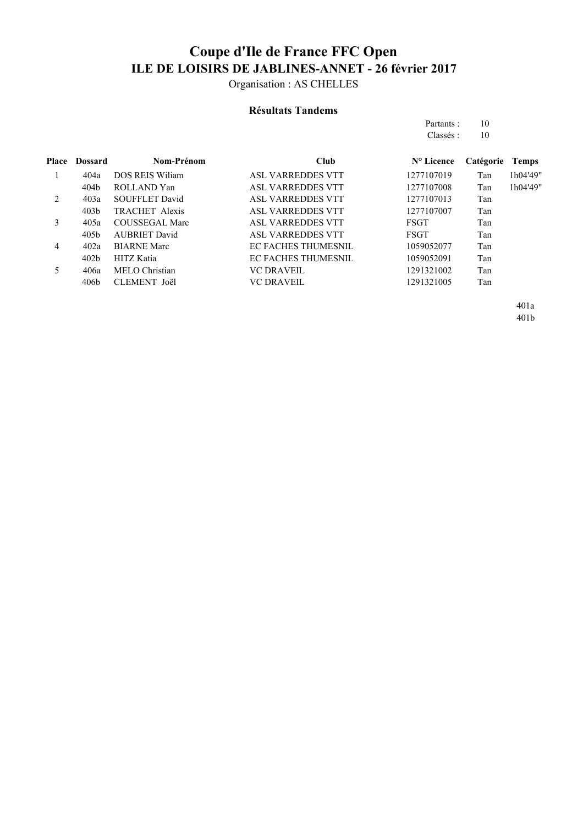Organisation : AS CHELLES

#### **Résultats Tandems**

Partants : 10 Classés : 10

|   | <b>Place Dossard</b> | Nom-Prénom             | Club                       | $N^{\circ}$ Licence | Catégorie | Temps    |
|---|----------------------|------------------------|----------------------------|---------------------|-----------|----------|
|   | 404a                 | <b>DOS REIS Wiliam</b> | <b>ASL VARREDDES VTT</b>   | 1277107019          | Tan       | 1h04'49" |
|   | 404b                 | ROLLAND Yan            | <b>ASL VARREDDES VTT</b>   | 1277107008          | Tan       | 1h04'49" |
| 2 | 403a                 | <b>SOUFFLET David</b>  | <b>ASL VARREDDES VTT</b>   | 1277107013          | Tan       |          |
|   | 403 <sub>b</sub>     | <b>TRACHET Alexis</b>  | <b>ASL VARREDDES VTT</b>   | 1277107007          | Tan       |          |
| 3 | 405a                 | <b>COUSSEGAL Marc</b>  | <b>ASL VARREDDES VTT</b>   | FSGT                | Tan       |          |
|   | 405b                 | <b>AUBRIET David</b>   | <b>ASL VARREDDES VTT</b>   | FSGT                | Tan       |          |
| 4 | 402a                 | <b>BIARNE Marc</b>     | <b>EC FACHES THUMESNIL</b> | 1059052077          | Tan       |          |
|   | 402b                 | HITZ Katia             | <b>EC FACHES THUMESNIL</b> | 1059052091          | Tan       |          |
|   | 406a                 | MELO Christian         | VC DRAVEIL                 | 1291321002          | Tan       |          |
|   | 406 <sub>b</sub>     | CLEMENT Joël           | <b>VC DRAVEIL</b>          | 1291321005          | Tan       |          |
|   |                      |                        |                            |                     |           |          |

401a 401b